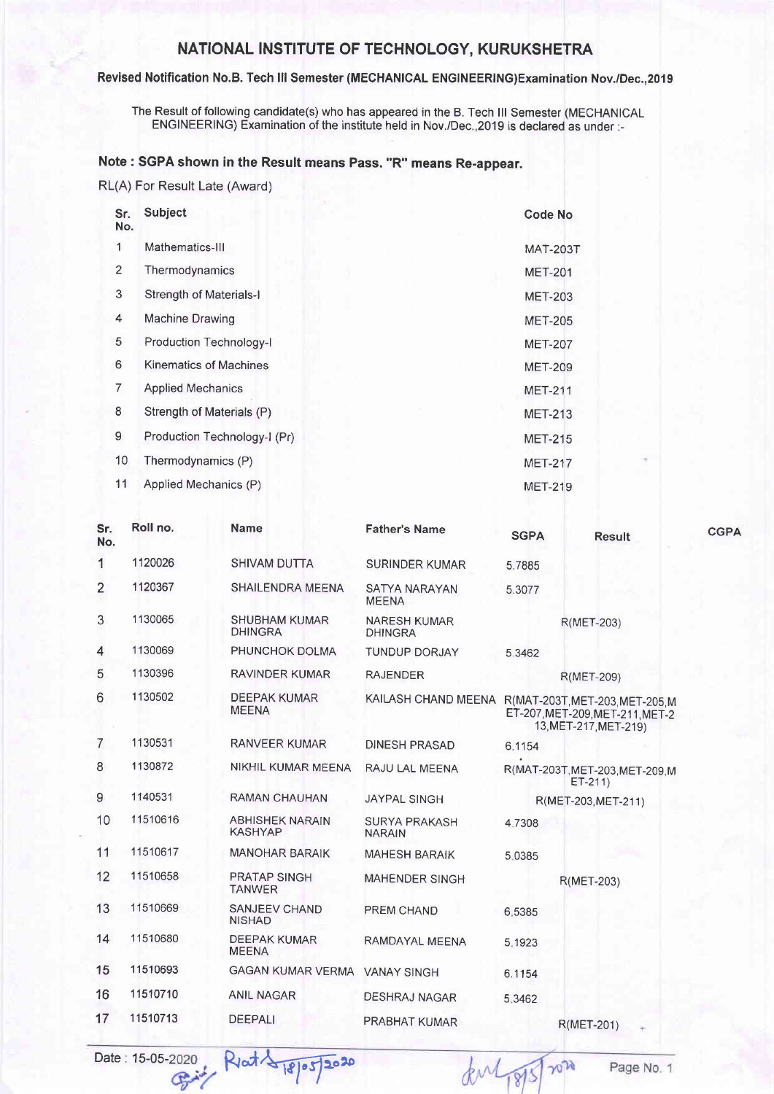## NATIONAL INSTITUTE OF TECHNOLOGY, KURUKSHETRA

## Revised Notification No.B. Tech lll Semester (MECHANICAL ENGINEERING)Examination Nov./Dec.,2019

The Result of following candidate(s) who has appeared in the B. Tech lll Semester (MECHANICAL ENGINEERING) Examination of the institute held in Nov./Dec.,2019 is declared as under:-

## Note : SGPA shown in the Result means Pass. "R" means Re-appear.

RL(A) For Result Late (Award)

| Sr.<br>No.     | <b>Subject</b>                 | <b>Code No</b>  |
|----------------|--------------------------------|-----------------|
| 1              | Mathematics-III                | <b>MAT-203T</b> |
| $\overline{2}$ | Thermodynamics                 | <b>MET-201</b>  |
| 3              | <b>Strength of Materials-I</b> | <b>MET-203</b>  |
| 4              | <b>Machine Drawing</b>         | <b>MET-205</b>  |
| 5              | Production Technology-I        | <b>MET-207</b>  |
| 6              | Kinematics of Machines         | <b>MET-209</b>  |
| 7              | <b>Applied Mechanics</b>       | <b>MET-211</b>  |
| 8              | Strength of Materials (P)      | <b>MET-213</b>  |
| 9              | Production Technology-1 (Pr)   | <b>MET-215</b>  |
| 10             | Thermodynamics (P)             | <b>MET-217</b>  |
| 11             | Applied Mechanics (P)          | <b>MET-219</b>  |

| Sr.<br>No.               | Roll no. | <b>Name</b>                              | <b>Father's Name</b>                  | <b>SGPA</b> | <b>Result</b>                                                                               | <b>CGPA</b> |
|--------------------------|----------|------------------------------------------|---------------------------------------|-------------|---------------------------------------------------------------------------------------------|-------------|
| 1                        | 1120026  | SHIVAM DUTTA                             | SURINDER KUMAR                        | 5.7885      |                                                                                             |             |
| $\overline{2}$           | 1120367  | SHAILENDRA MEENA                         | SATYA NARAYAN<br><b>MEENA</b>         | 5.3077      |                                                                                             |             |
| 3                        | 1130065  | <b>SHUBHAM KUMAR</b><br><b>DHINGRA</b>   | <b>NARESH KUMAR</b><br><b>DHINGRA</b> |             | R(MET-203)                                                                                  |             |
| $\overline{\mathcal{L}}$ | 1130069  | PHUNCHOK DOLMA                           | <b>TUNDUP DORJAY</b>                  | 5.3462      |                                                                                             |             |
| 5                        | 1130396  | <b>RAVINDER KUMAR</b>                    | <b>RAJENDER</b>                       |             | R(MET-209)                                                                                  |             |
| 6                        | 1130502  | <b>DEEPAK KUMAR</b><br><b>MEENA</b>      | KAILASH CHAND MEENA                   |             | R(MAT-203T, MET-203, MET-205, M<br>ET-207, MET-209, MET-211, MET-2<br>13, MET-217, MET-219) |             |
| $\overline{7}$           | 1130531  | RANVEER KUMAR                            | <b>DINESH PRASAD</b>                  | 6.1154      |                                                                                             |             |
| 8                        | 1130872  | NIKHIL KUMAR MEENA                       | RAJU LAL MEENA                        |             | R(MAT-203T, MET-203, MET-209, M<br>$ET-211$                                                 |             |
| 9                        | 1140531  | <b>RAMAN CHAUHAN</b>                     | <b>JAYPAL SINGH</b>                   |             | R(MET-203, MET-211)                                                                         |             |
| 10                       | 11510616 | <b>ABHISHEK NARAIN</b><br><b>KASHYAP</b> | <b>SURYA PRAKASH</b><br><b>NARAIN</b> | 4.7308      |                                                                                             |             |
| 11                       | 11510617 | <b>MANOHAR BARAIK</b>                    | <b>MAHESH BARAIK</b>                  | 5.0385      |                                                                                             |             |
| 12                       | 11510658 | <b>PRATAP SINGH</b><br><b>TANWER</b>     | MAHENDER SINGH                        |             | R(MET-203)                                                                                  |             |
| 13                       | 11510669 | <b>SANJEEV CHAND</b><br><b>NISHAD</b>    | PREM CHAND                            | 6.5385      |                                                                                             |             |
| 14                       | 11510680 | <b>DEEPAK KUMAR</b><br><b>MEENA</b>      | RAMDAYAL MEENA                        | 5.1923      |                                                                                             |             |
| 15                       | 11510693 | GAGAN KUMAR VERMA VANAY SINGH            |                                       | 6.1154      |                                                                                             |             |
| 16                       | 11510710 | <b>ANIL NAGAR</b>                        | <b>DESHRAJ NAGAR</b>                  | 5.3462      |                                                                                             |             |
| 17                       | 11510713 | <b>DEEPALI</b>                           | PRABHAT KUMAR                         |             | R(MET-201)<br>$\sim$                                                                        |             |

Date: 15-05-2020 Riat 18/05/2020

 $207$ dubys